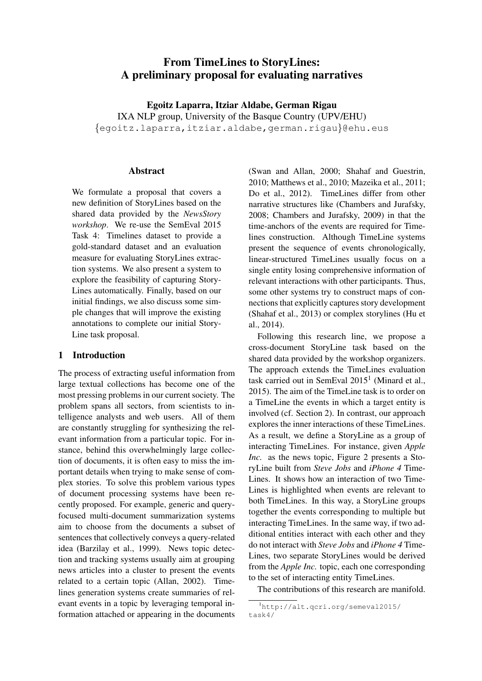# From TimeLines to StoryLines: A preliminary proposal for evaluating narratives

Egoitz Laparra, Itziar Aldabe, German Rigau IXA NLP group, University of the Basque Country (UPV/EHU) {egoitz.laparra,itziar.aldabe,german.rigau}@ehu.eus

#### **Abstract**

We formulate a proposal that covers a new definition of StoryLines based on the shared data provided by the *NewsStory workshop*. We re-use the SemEval 2015 Task 4: Timelines dataset to provide a gold-standard dataset and an evaluation measure for evaluating StoryLines extraction systems. We also present a system to explore the feasibility of capturing Story-Lines automatically. Finally, based on our initial findings, we also discuss some simple changes that will improve the existing annotations to complete our initial Story-Line task proposal.

### 1 Introduction

The process of extracting useful information from large textual collections has become one of the most pressing problems in our current society. The problem spans all sectors, from scientists to intelligence analysts and web users. All of them are constantly struggling for synthesizing the relevant information from a particular topic. For instance, behind this overwhelmingly large collection of documents, it is often easy to miss the important details when trying to make sense of complex stories. To solve this problem various types of document processing systems have been recently proposed. For example, generic and queryfocused multi-document summarization systems aim to choose from the documents a subset of sentences that collectively conveys a query-related idea (Barzilay et al., 1999). News topic detection and tracking systems usually aim at grouping news articles into a cluster to present the events related to a certain topic (Allan, 2002). Timelines generation systems create summaries of relevant events in a topic by leveraging temporal information attached or appearing in the documents (Swan and Allan, 2000; Shahaf and Guestrin, 2010; Matthews et al., 2010; Mazeika et al., 2011; Do et al., 2012). TimeLines differ from other narrative structures like (Chambers and Jurafsky, 2008; Chambers and Jurafsky, 2009) in that the time-anchors of the events are required for Timelines construction. Although TimeLine systems present the sequence of events chronologically, linear-structured TimeLines usually focus on a single entity losing comprehensive information of relevant interactions with other participants. Thus, some other systems try to construct maps of connections that explicitly captures story development (Shahaf et al., 2013) or complex storylines (Hu et al., 2014).

Following this research line, we propose a cross-document StoryLine task based on the shared data provided by the workshop organizers. The approach extends the TimeLines evaluation task carried out in SemEval 2015<sup>1</sup> (Minard et al., 2015). The aim of the TimeLine task is to order on a TimeLine the events in which a target entity is involved (cf. Section 2). In contrast, our approach explores the inner interactions of these TimeLines. As a result, we define a StoryLine as a group of interacting TimeLines. For instance, given *Apple Inc.* as the news topic, Figure 2 presents a StoryLine built from *Steve Jobs* and *iPhone 4* Time-Lines. It shows how an interaction of two Time-Lines is highlighted when events are relevant to both TimeLines. In this way, a StoryLine groups together the events corresponding to multiple but interacting TimeLines. In the same way, if two additional entities interact with each other and they do not interact with *Steve Jobs* and *iPhone 4* Time-Lines, two separate StoryLines would be derived from the *Apple Inc.* topic, each one corresponding to the set of interacting entity TimeLines.

The contributions of this research are manifold.

<sup>1</sup>http://alt.qcri.org/semeval2015/ task4/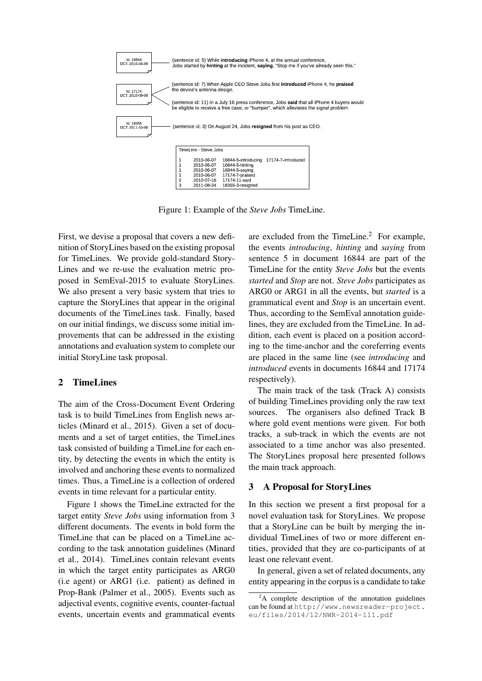

Figure 1: Example of the *Steve Jobs* TimeLine.

First, we devise a proposal that covers a new definition of StoryLines based on the existing proposal for TimeLines. We provide gold-standard Story-Lines and we re-use the evaluation metric proposed in SemEval-2015 to evaluate StoryLines. We also present a very basic system that tries to capture the StoryLines that appear in the original documents of the TimeLines task. Finally, based on our initial findings, we discuss some initial improvements that can be addressed in the existing annotations and evaluation system to complete our initial StoryLine task proposal.

## 2 TimeLines

The aim of the Cross-Document Event Ordering task is to build TimeLines from English news articles (Minard et al., 2015). Given a set of documents and a set of target entities, the TimeLines task consisted of building a TimeLine for each entity, by detecting the events in which the entity is involved and anchoring these events to normalized times. Thus, a TimeLine is a collection of ordered events in time relevant for a particular entity.

Figure 1 shows the TimeLine extracted for the target entity *Steve Jobs* using information from 3 different documents. The events in bold form the TimeLine that can be placed on a TimeLine according to the task annotation guidelines (Minard et al., 2014). TimeLines contain relevant events in which the target entity participates as ARG0 (i.e agent) or ARG1 (i.e. patient) as defined in Prop-Bank (Palmer et al., 2005). Events such as adjectival events, cognitive events, counter-factual events, uncertain events and grammatical events are excluded from the TimeLine. $^{2}$  For example, the events *introducing*, *hinting* and *saying* from sentence 5 in document 16844 are part of the TimeLine for the entity *Steve Jobs* but the events *started* and *Stop* are not. *Steve Jobs* participates as ARG0 or ARG1 in all the events, but *started* is a grammatical event and *Stop* is an uncertain event. Thus, according to the SemEval annotation guidelines, they are excluded from the TimeLine. In addition, each event is placed on a position according to the time-anchor and the coreferring events are placed in the same line (see *introducing* and *introduced* events in documents 16844 and 17174 respectively).

The main track of the task (Track A) consists of building TimeLines providing only the raw text sources. The organisers also defined Track B where gold event mentions were given. For both tracks, a sub-track in which the events are not associated to a time anchor was also presented. The StoryLines proposal here presented follows the main track approach.

### 3 A Proposal for StoryLines

In this section we present a first proposal for a novel evaluation task for StoryLines. We propose that a StoryLine can be built by merging the individual TimeLines of two or more different entities, provided that they are co-participants of at least one relevant event.

In general, given a set of related documents, any entity appearing in the corpus is a candidate to take

<sup>&</sup>lt;sup>2</sup>A complete description of the annotation guidelines can be found at http://www.newsreader-project. eu/files/2014/12/NWR-2014-111.pdf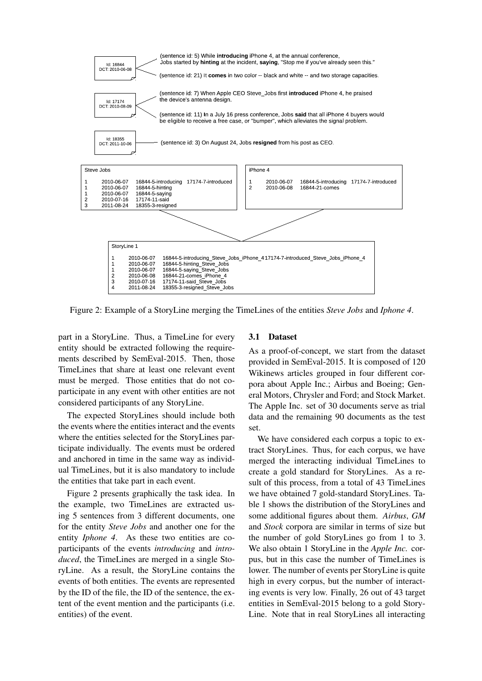

Figure 2: Example of a StoryLine merging the TimeLines of the entities *Steve Jobs* and *Iphone 4*.

part in a StoryLine. Thus, a TimeLine for every entity should be extracted following the requirements described by SemEval-2015. Then, those TimeLines that share at least one relevant event must be merged. Those entities that do not coparticipate in any event with other entities are not considered participants of any StoryLine.

The expected StoryLines should include both the events where the entities interact and the events where the entities selected for the StoryLines participate individually. The events must be ordered and anchored in time in the same way as individual TimeLines, but it is also mandatory to include the entities that take part in each event.

Figure 2 presents graphically the task idea. In the example, two TimeLines are extracted using 5 sentences from 3 different documents, one for the entity *Steve Jobs* and another one for the entity *Iphone 4*. As these two entities are coparticipants of the events *introducing* and *introduced*, the TimeLines are merged in a single StoryLine. As a result, the StoryLine contains the events of both entities. The events are represented by the ID of the file, the ID of the sentence, the extent of the event mention and the participants (i.e. entities) of the event.

### 3.1 Dataset

As a proof-of-concept, we start from the dataset provided in SemEval-2015. It is composed of 120 Wikinews articles grouped in four different corpora about Apple Inc.; Airbus and Boeing; General Motors, Chrysler and Ford; and Stock Market. The Apple Inc. set of 30 documents serve as trial data and the remaining 90 documents as the test set.

We have considered each corpus a topic to extract StoryLines. Thus, for each corpus, we have merged the interacting individual TimeLines to create a gold standard for StoryLines. As a result of this process, from a total of 43 TimeLines we have obtained 7 gold-standard StoryLines. Table 1 shows the distribution of the StoryLines and some additional figures about them. *Airbus*, *GM* and *Stock* corpora are similar in terms of size but the number of gold StoryLines go from 1 to 3. We also obtain 1 StoryLine in the *Apple Inc.* corpus, but in this case the number of TimeLines is lower. The number of events per StoryLine is quite high in every corpus, but the number of interacting events is very low. Finally, 26 out of 43 target entities in SemEval-2015 belong to a gold Story-Line. Note that in real StoryLines all interacting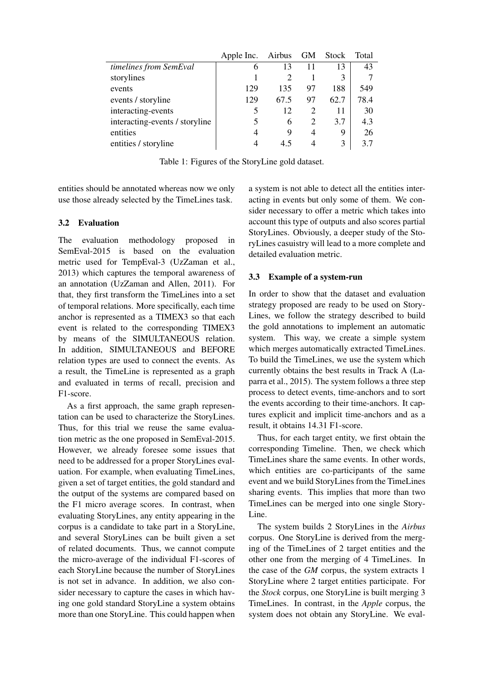|                                | Apple Inc. | Airbus                      | <b>GM</b>      | Stock | Total |
|--------------------------------|------------|-----------------------------|----------------|-------|-------|
| timelines from SemEval         | 6          | 13                          |                | 13    | 43    |
| storylines                     |            | $\mathcal{D}_{\mathcal{L}}$ |                | 3     |       |
| events                         | 129        | 135                         | 97             | 188   | 549   |
| events / storyline             | 129        | 67.5                        | 97             | 62.7  | 78.4  |
| interacting-events             |            | 12                          | $\overline{2}$ | 11    | 30    |
| interacting-events / storyline |            | 6                           | 2              | 3.7   | 4.3   |
| entities                       | 4          | 9                           | $\overline{4}$ | 9     | 26    |
| entities / storyline           |            | 45                          |                | 3     | 3.7   |

Table 1: Figures of the StoryLine gold dataset.

entities should be annotated whereas now we only use those already selected by the TimeLines task.

# 3.2 Evaluation

The evaluation methodology proposed in SemEval-2015 is based on the evaluation metric used for TempEval-3 (UzZaman et al., 2013) which captures the temporal awareness of an annotation (UzZaman and Allen, 2011). For that, they first transform the TimeLines into a set of temporal relations. More specifically, each time anchor is represented as a TIMEX3 so that each event is related to the corresponding TIMEX3 by means of the SIMULTANEOUS relation. In addition, SIMULTANEOUS and BEFORE relation types are used to connect the events. As a result, the TimeLine is represented as a graph and evaluated in terms of recall, precision and F1-score.

As a first approach, the same graph representation can be used to characterize the StoryLines. Thus, for this trial we reuse the same evaluation metric as the one proposed in SemEval-2015. However, we already foresee some issues that need to be addressed for a proper StoryLines evaluation. For example, when evaluating TimeLines, given a set of target entities, the gold standard and the output of the systems are compared based on the F1 micro average scores. In contrast, when evaluating StoryLines, any entity appearing in the corpus is a candidate to take part in a StoryLine, and several StoryLines can be built given a set of related documents. Thus, we cannot compute the micro-average of the individual F1-scores of each StoryLine because the number of StoryLines is not set in advance. In addition, we also consider necessary to capture the cases in which having one gold standard StoryLine a system obtains more than one StoryLine. This could happen when a system is not able to detect all the entities interacting in events but only some of them. We consider necessary to offer a metric which takes into account this type of outputs and also scores partial StoryLines. Obviously, a deeper study of the StoryLines casuistry will lead to a more complete and detailed evaluation metric.

# 3.3 Example of a system-run

In order to show that the dataset and evaluation strategy proposed are ready to be used on Story-Lines, we follow the strategy described to build the gold annotations to implement an automatic system. This way, we create a simple system which merges automatically extracted TimeLines. To build the TimeLines, we use the system which currently obtains the best results in Track A (Laparra et al., 2015). The system follows a three step process to detect events, time-anchors and to sort the events according to their time-anchors. It captures explicit and implicit time-anchors and as a result, it obtains 14.31 F1-score.

Thus, for each target entity, we first obtain the corresponding Timeline. Then, we check which TimeLines share the same events. In other words, which entities are co-participants of the same event and we build StoryLines from the TimeLines sharing events. This implies that more than two TimeLines can be merged into one single Story-Line.

The system builds 2 StoryLines in the *Airbus* corpus. One StoryLine is derived from the merging of the TimeLines of 2 target entities and the other one from the merging of 4 TimeLines. In the case of the *GM* corpus, the system extracts 1 StoryLine where 2 target entities participate. For the *Stock* corpus, one StoryLine is built merging 3 TimeLines. In contrast, in the *Apple* corpus, the system does not obtain any StoryLine. We eval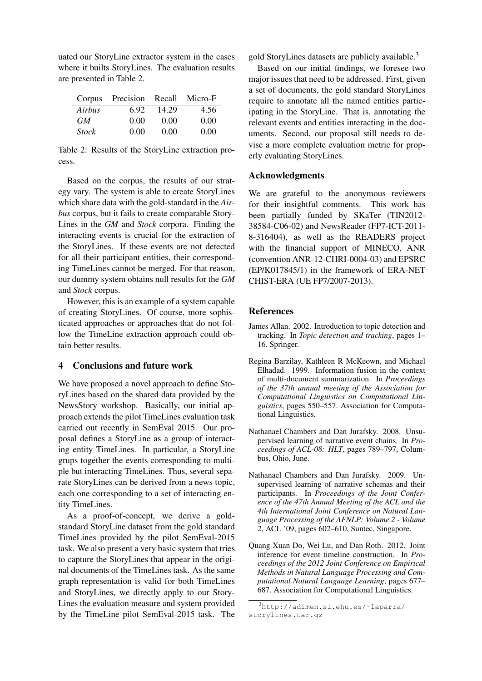uated our StoryLine extractor system in the cases where it builts StoryLines. The evaluation results are presented in Table 2.

|              | Corpus Precision Recall |       | Micro-F |
|--------------|-------------------------|-------|---------|
| Airbus       | 6.92                    | 14.29 | 4.56    |
| GM.          | 0.00                    | 0.00  | 0.00    |
| <b>Stock</b> | 0.00                    | 0.00  | 0.00    |

Table 2: Results of the StoryLine extraction process.

Based on the corpus, the results of our strategy vary. The system is able to create StoryLines which share data with the gold-standard in the *Airbus* corpus, but it fails to create comparable Story-Lines in the *GM* and *Stock* corpora. Finding the interacting events is crucial for the extraction of the StoryLines. If these events are not detected for all their participant entities, their corresponding TimeLines cannot be merged. For that reason, our dummy system obtains null results for the *GM* and *Stock* corpus.

However, this is an example of a system capable of creating StoryLines. Of course, more sophisticated approaches or approaches that do not follow the TimeLine extraction approach could obtain better results.

### 4 Conclusions and future work

We have proposed a novel approach to define StoryLines based on the shared data provided by the NewsStory workshop. Basically, our initial approach extends the pilot TimeLines evaluation task carried out recently in SemEval 2015. Our proposal defines a StoryLine as a group of interacting entity TimeLines. In particular, a StoryLine grups together the events corresponding to multiple but interacting TimeLines. Thus, several separate StoryLines can be derived from a news topic, each one corresponding to a set of interacting entity TimeLines.

As a proof-of-concept, we derive a goldstandard StoryLine dataset from the gold standard TimeLines provided by the pilot SemEval-2015 task. We also present a very basic system that tries to capture the StoryLines that appear in the original documents of the TimeLines task. As the same graph representation is valid for both TimeLines and StoryLines, we directly apply to our Story-Lines the evaluation measure and system provided by the TimeLine pilot SemEval-2015 task. The gold StoryLines datasets are publicly available.<sup>3</sup>

Based on our initial findings, we foresee two major issues that need to be addressed. First, given a set of documents, the gold standard StoryLines require to annotate all the named entities participating in the StoryLine. That is, annotating the relevant events and entities interacting in the documents. Second, our proposal still needs to devise a more complete evaluation metric for properly evaluating StoryLines.

#### Acknowledgments

We are grateful to the anonymous reviewers for their insightful comments. This work has been partially funded by SKaTer (TIN2012- 38584-C06-02) and NewsReader (FP7-ICT-2011- 8-316404), as well as the READERS project with the financial support of MINECO, ANR (convention ANR-12-CHRI-0004-03) and EPSRC (EP/K017845/1) in the framework of ERA-NET CHIST-ERA (UE FP7/2007-2013).

#### References

- James Allan. 2002. Introduction to topic detection and tracking. In *Topic detection and tracking*, pages 1– 16. Springer.
- Regina Barzilay, Kathleen R McKeown, and Michael Elhadad. 1999. Information fusion in the context of multi-document summarization. In *Proceedings of the 37th annual meeting of the Association for Computational Linguistics on Computational Linguistics*, pages 550–557. Association for Computational Linguistics.
- Nathanael Chambers and Dan Jurafsky. 2008. Unsupervised learning of narrative event chains. In *Proceedings of ACL-08: HLT*, pages 789–797, Columbus, Ohio, June.
- Nathanael Chambers and Dan Jurafsky. 2009. Unsupervised learning of narrative schemas and their participants. In *Proceedings of the Joint Conference of the 47th Annual Meeting of the ACL and the 4th International Joint Conference on Natural Language Processing of the AFNLP: Volume 2 - Volume 2*, ACL '09, pages 602–610, Suntec, Singapore.
- Quang Xuan Do, Wei Lu, and Dan Roth. 2012. Joint inference for event timeline construction. In *Proceedings of the 2012 Joint Conference on Empirical Methods in Natural Language Processing and Computational Natural Language Learning*, pages 677– 687. Association for Computational Linguistics.

<sup>3</sup>http://adimen.si.ehu.es/˜laparra/ storylines.tar.gz